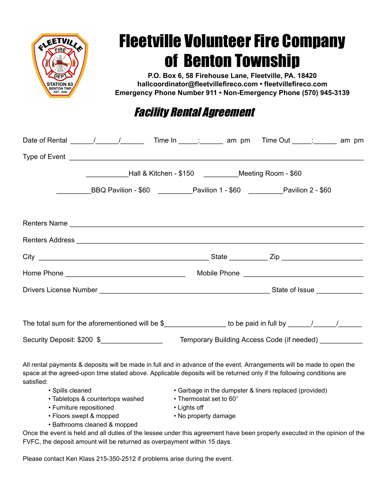

## Fleetville Volunteer Fire Company of Benton Township

 **P.O. Box 6, 58 Firehouse Lane, Fleetville, PA. 18420 hallcoordinator@fleetvillefireco.com • fleetvillefireco.com Emergency Phone Number 911 • Non-Emergency Phone (570) 945-3139**

## Facility Rental Agreement

|                                                                                                                                                                                                                                                               | _______________Hall & Kitchen - \$150 ______________Meeting Room - \$60 |                                                                                   |                                                        |  |  |  |  |
|---------------------------------------------------------------------------------------------------------------------------------------------------------------------------------------------------------------------------------------------------------------|-------------------------------------------------------------------------|-----------------------------------------------------------------------------------|--------------------------------------------------------|--|--|--|--|
|                                                                                                                                                                                                                                                               | BBQ Pavilion - \$60 Pavilion 1 - \$60 Pavilion 2 - \$60                 |                                                                                   |                                                        |  |  |  |  |
|                                                                                                                                                                                                                                                               |                                                                         |                                                                                   |                                                        |  |  |  |  |
|                                                                                                                                                                                                                                                               |                                                                         |                                                                                   |                                                        |  |  |  |  |
|                                                                                                                                                                                                                                                               |                                                                         |                                                                                   |                                                        |  |  |  |  |
|                                                                                                                                                                                                                                                               |                                                                         |                                                                                   |                                                        |  |  |  |  |
|                                                                                                                                                                                                                                                               |                                                                         |                                                                                   |                                                        |  |  |  |  |
|                                                                                                                                                                                                                                                               |                                                                         |                                                                                   |                                                        |  |  |  |  |
|                                                                                                                                                                                                                                                               |                                                                         |                                                                                   |                                                        |  |  |  |  |
| Security Deposit: \$200 \$__________________                                                                                                                                                                                                                  |                                                                         |                                                                                   | Temporary Building Access Code (if needed) ___________ |  |  |  |  |
| All rental payments & deposits will be made in full and in advance of the event. Arrangements will be made to open the<br>space at the agreed-upon time stated above. Applicable deposits will be returned only if the following conditions are<br>satisfied: |                                                                         |                                                                                   |                                                        |  |  |  |  |
| • Spills cleaned<br>• Tabletops & countertops washed                                                                                                                                                                                                          |                                                                         | • Garbage in the dumpster & liners replaced (provided)<br>• Thermostat set to 60° |                                                        |  |  |  |  |

- Furniture repositioned Lights off
- Floors swept & mopped No property damage
- Bathrooms cleaned & mopped

 Once the event is held and all duties of the lessee under this agreement have been properly executed in the opinion of the FVFC, the deposit amount will be returned as overpayment within 15 days.

Please contact Ken Klass 215-350-2512 if problems arise during the event.